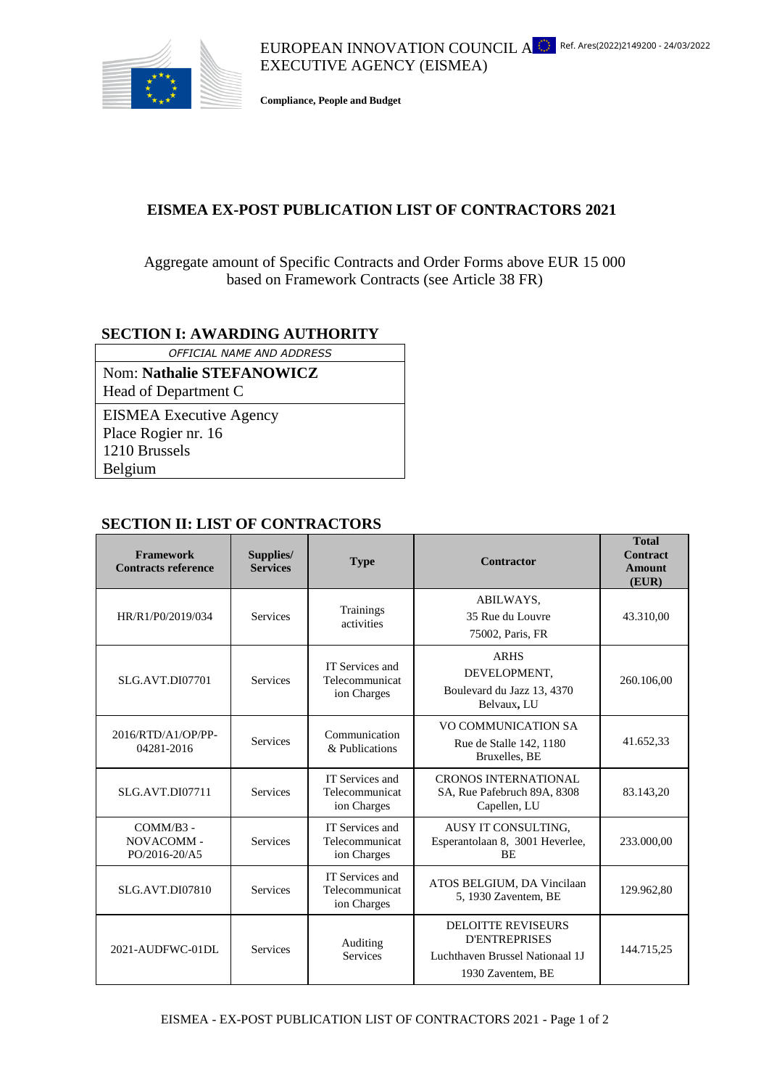

EUROPEAN INNOVATION COUNCIL  $A^{\bullet\bullet\bullet}_{\bullet\bullet\bullet}$  Ref. Ares(2022)2149200 - 24/03/2022 EXECUTIVE AGENCY (EISMEA)

**Compliance, People and Budget**

## **EISMEA EX-POST PUBLICATION LIST OF CONTRACTORS 2021**

## Aggregate amount of Specific Contracts and Order Forms above EUR 15 000 based on Framework Contracts (see Article 38 FR)

## **SECTION I: AWARDING AUTHORITY**

*OFFICIAL NAME AND ADDRESS* Nom: **Nathalie STEFANOWICZ**

Head of Department C

EISMEA Executive Agency Place Rogier nr. 16 1210 Brussels Belgium

## **SECTION II: LIST OF CONTRACTORS**

| Framework<br><b>Contracts reference</b> | Supplies/<br><b>Services</b> | <b>Type</b>                                      | <b>Contractor</b>                                                                                         | <b>Total</b><br><b>Contract</b><br><b>Amount</b><br>(EUR) |
|-----------------------------------------|------------------------------|--------------------------------------------------|-----------------------------------------------------------------------------------------------------------|-----------------------------------------------------------|
| HR/R1/P0/2019/034                       | <b>Services</b>              | Trainings<br>activities                          | ABILWAYS,<br>35 Rue du Louvre<br>75002, Paris, FR                                                         | 43.310,00                                                 |
| <b>SLG.AVT.DI07701</b>                  | <b>Services</b>              | IT Services and<br>Telecommunicat<br>ion Charges | <b>ARHS</b><br>DEVELOPMENT.<br>Boulevard du Jazz 13, 4370<br>Belvaux, LU                                  | 260.106.00                                                |
| 2016/RTD/A1/OP/PP-<br>04281-2016        | <b>Services</b>              | Communication<br>& Publications                  | VO COMMUNICATION SA<br>Rue de Stalle 142, 1180<br>Bruxelles, BE                                           | 41.652,33                                                 |
| <b>SLG.AVT.DI07711</b>                  | <b>Services</b>              | IT Services and<br>Telecommunicat<br>ion Charges | <b>CRONOS INTERNATIONAL</b><br>SA, Rue Pafebruch 89A, 8308<br>Capellen, LU                                | 83.143,20                                                 |
| COMM/B3 -<br>NOVACOMM-<br>PO/2016-20/A5 | <b>Services</b>              | IT Services and<br>Telecommunicat<br>ion Charges | AUSY IT CONSULTING,<br>Esperantolaan 8, 3001 Heverlee,<br><b>BE</b>                                       | 233.000,00                                                |
| <b>SLG.AVT.DI07810</b>                  | <b>Services</b>              | IT Services and<br>Telecommunicat<br>ion Charges | ATOS BELGIUM, DA Vincilaan<br>5, 1930 Zaventem, BE                                                        | 129.962,80                                                |
| 2021-AUDFWC-01DL                        | <b>Services</b>              | Auditing<br><b>Services</b>                      | <b>DELOITTE REVISEURS</b><br><b>D'ENTREPRISES</b><br>Luchthaven Brussel Nationaal 1J<br>1930 Zaventem, BE | 144.715,25                                                |